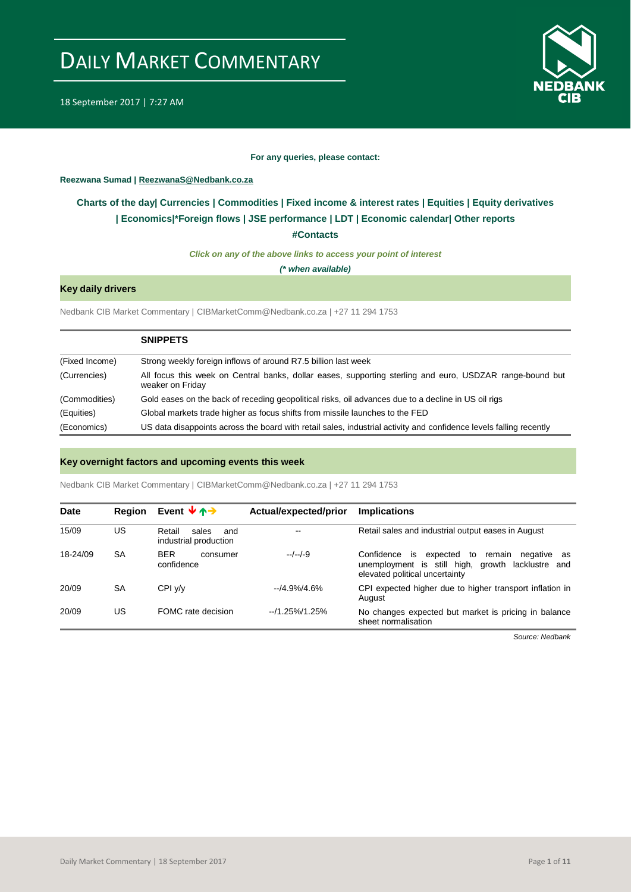

18 September 2017 | 7:27 AM

#### **For any queries, please contact:**

#### <span id="page-0-0"></span>**Reezwana Sumad | ReezwanaS@Nedbank.co.za**

### **Charts of the day| [Currencies](#page-2-0) [| Commodities](#page-3-0) | [Fixed income & interest rates](#page-1-0) | [Equities](#page-4-0) | Equity derivatives | [Economics|\\*](#page-7-0)Foreign flows [| JSE performance](#page-4-1) | [LDT](#page-5-0) | [Economic calendar|](#page-8-0) Other reports**

**[#Contacts](#page-9-0)**

*Click on any of the above links to access your point of interest*

*(\* when available)*

#### **Key daily drivers**

Nedbank CIB Market Commentary | CIBMarketComm@Nedbank.co.za | +27 11 294 1753

|                | <b>SNIPPETS</b>                                                                                                              |
|----------------|------------------------------------------------------------------------------------------------------------------------------|
| (Fixed Income) | Strong weekly foreign inflows of around R7.5 billion last week                                                               |
| (Currencies)   | All focus this week on Central banks, dollar eases, supporting sterling and euro, USDZAR range-bound but<br>weaker on Friday |
| (Commodities)  | Gold eases on the back of receding geopolitical risks, oil advances due to a decline in US oil rigs                          |
| (Equities)     | Global markets trade higher as focus shifts from missile launches to the FED                                                 |
| (Economics)    | US data disappoints across the board with retail sales, industrial activity and confidence levels falling recently           |

#### **Key overnight factors and upcoming events this week**

Nedbank CIB Market Commentary | CIBMarketComm@Nedbank.co.za | +27 11 294 1753

| <b>Date</b> | <b>Region</b> | Event $\forall \land \rightarrow$               | Actual/expected/prior | <b>Implications</b>                                                                                                                       |
|-------------|---------------|-------------------------------------------------|-----------------------|-------------------------------------------------------------------------------------------------------------------------------------------|
| 15/09       | US            | Retail<br>sales<br>and<br>industrial production | --                    | Retail sales and industrial output eases in August                                                                                        |
| 18-24/09    | SA            | <b>BER</b><br>consumer<br>confidence            | $-/-/-9$              | Confidence is expected to<br>remain<br>negative as<br>unemployment is still high, growth lacklustre and<br>elevated political uncertainty |
| 20/09       | SA            | CPIV/V                                          | $-14.9\%/4.6\%$       | CPI expected higher due to higher transport inflation in<br>August                                                                        |
| 20/09       | US            | FOMC rate decision                              | $-1.25\%/1.25\%$      | No changes expected but market is pricing in balance<br>sheet normalisation                                                               |

*Source: Nedbank*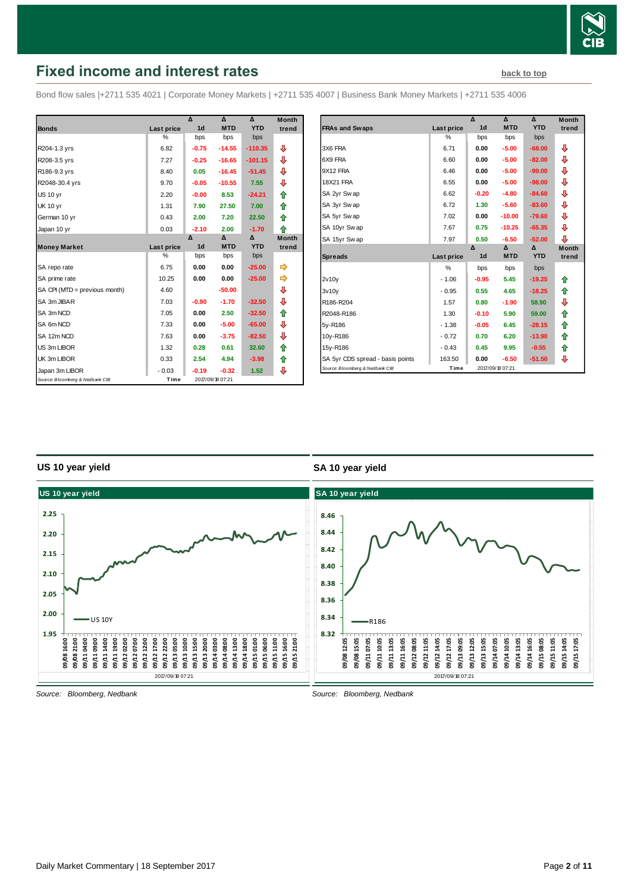

# <span id="page-1-0"></span>**Fixed income and interest rates [back to top](#page-0-0) back to top**

Bond flow sales |+2711 535 4021 | Corporate Money Markets | +2711 535 4007 | Business Bank Money Markets | +2711 535 4006

|                                 |            | Δ              | $\mathbf{v}$     | Δ          | <b>Month</b> |
|---------------------------------|------------|----------------|------------------|------------|--------------|
| <b>Bonds</b>                    | Last price | 1 <sub>d</sub> | <b>MTD</b>       | <b>YTD</b> | trend        |
|                                 | %          | bps            | bps              | bps        |              |
| R204-1.3 yrs                    | 6.82       | $-0.75$        | $-14.55$         | $-110.35$  | ⊕            |
| R208-3.5 yrs                    | 7.27       | $-0.25$        | $-16.65$         | $-101.15$  | ⊕            |
| R186-9.3 yrs                    | 8.40       | 0.05           | $-16.45$         | $-51.45$   | ⊕            |
| R2048-30.4 yrs                  | 9.70       | $-0.05$        | $-10.55$         | 7.55       | ⊕            |
| <b>US 10 yr</b>                 | 2.20       | $-0.00$        | 8.53             | $-24.21$   | ⇑            |
| <b>UK 10 yr</b>                 | 1.31       | 7.90           | 27.50            | 7.00       | ⇑            |
| German 10 yr                    | 0.43       | 2.00           | 7.20             | 22.50      | ⇑            |
| Japan 10 yr                     | 0.03       | $-2.10$        | 2.00             | $-1.70$    | ⇑            |
|                                 |            | Δ              | Δ                | Δ          | <b>Month</b> |
| <b>Money Market</b>             | Last price | 1 <sub>d</sub> | <b>MTD</b>       | <b>YTD</b> | trend        |
|                                 | %          | bps            | bps              | bps        |              |
| SA repo rate                    | 6.75       | 0.00           | 0.00             | $-25.00$   | ⇛            |
| SA prime rate                   | 10.25      | 0.00           | 0.00             | $-25.00$   | ⇛            |
| SA CPI (MTD = previous month)   | 4.60       |                | $-50.00$         |            | ⊕            |
| SA 3m JIBAR                     | 7.03       | $-0.90$        | $-1.70$          | $-32.50$   | ⇩            |
| SA 3m NCD                       | 7.05       | 0.00           | 2.50             | $-32.50$   | ⇑            |
| SA 6m NCD                       | 7.33       | 0.00           | $-5.00$          | $-65.00$   | ⊕            |
| SA 12m NCD                      | 7.63       | 0.00           | $-3.75$          | $-82.50$   | ⇩            |
| US 3m LIBOR                     | 1.32       | 0.28           | 0.61             | 32.60      | ⇮            |
| UK 3m LIBOR                     | 0.33       | 2.54           | 4.94             | $-3.98$    | ⇑            |
| Japan 3m LIBOR                  | $-0.03$    | $-0.19$        | $-0.32$          | 1.52       | ⊕            |
| Source: Bloomberg & Nedbank CIB | Time       |                | 2017/09/18 07:21 |            |              |

| <b>Month</b>     |                                                                     |                | Δ              | Δ                           | Δ          | <b>Month</b> |
|------------------|---------------------------------------------------------------------|----------------|----------------|-----------------------------|------------|--------------|
| trend            | <b>FRAs and Swaps</b>                                               | Last price     | 1 <sub>d</sub> | <b>MTD</b>                  | <b>YTD</b> | trend        |
|                  |                                                                     | %              | bps            | bps                         | bps        |              |
| ⊕                | 3X6 FRA                                                             | 6.71           | 0.00           | $-5.00$                     | $-68.00$   | ⊕            |
| ⊕                | 6X9 FRA                                                             | 6.60           | 0.00           | $-5.00$                     | $-82.00$   | ⊕            |
| ⊕                | 9X12 FRA                                                            | 6.46           | 0.00           | $-5.00$                     | $-99.00$   | ⊕            |
| ⊕                | <b>18X21 FRA</b>                                                    | 6.55           | 0.00           | $-5.00$                     | $-98.00$   | ⊕            |
| 合                | SA 2yr Swap                                                         | 6.62           | $-0.20$        | $-4.80$                     | $-84.60$   | ⊕            |
| 合                | SA 3yr Swap                                                         | 6.72           | 1.30           | $-5.60$                     | $-83.60$   | ₽            |
| ⇮                | SA 5yr Swap                                                         | 7.02           | 0.00           | $-10.00$                    | $-79.60$   | ⊕            |
| 合                | SA 10yr Swap                                                        | 7.67           | 0.75           | $-10.25$                    | $-65.35$   | ⊕            |
| Month            | SA 15yr Swap                                                        | 7.97           | 0.50           | $-6.50$                     | $-52.00$   | ⊕            |
| trend            |                                                                     |                | Δ              | Δ                           | Δ          | <b>Month</b> |
|                  | <b>Spreads</b>                                                      | Last price     | 1 <sub>d</sub> | <b>MTD</b>                  | <b>YTD</b> | trend        |
|                  |                                                                     | $\frac{0}{0}$  | bps            | bps                         | bps        |              |
| ⇛                | 2v10v                                                               |                |                |                             |            |              |
|                  |                                                                     | $-1.06$        | $-0.95$        | 5.45                        | $-19.25$   | ⇑            |
|                  | 3v10v                                                               | $-0.95$        | 0.55           | 4.65                        | $-18.25$   | ⇑            |
|                  | R186-R204                                                           | 1.57           | 0.80           | $-1.90$                     | 58.90      | ⊕            |
|                  | R2048-R186                                                          | 1.30           | $-0.10$        | 5.90                        | 59.00      | ⇑            |
| ⊕<br>⊕<br>⇮<br>⊕ | 5y-R186                                                             | $-1.38$        | $-0.05$        | 6.45                        | $-28.15$   | ⇑            |
|                  | 10y-R186                                                            | $-0.72$        | 0.70           | 6.20                        | $-13.90$   | 合            |
|                  | 15y-R186                                                            | $-0.43$        | 0.45           | 9.95                        | $-0.55$    | ⇑            |
| ⊕<br>⇮<br>合      | SA 5yr CDS spread - basis points<br>Source: Bloomberg & Nedbank CIB | 163.50<br>Time | 0.00           | $-6.50$<br>2017/09/18 07:21 | $-51.50$   | ⊕            |

#### **US 10 year yield**

#### **SA 10 year yield**



*Source: Bloomberg, Nedbank*

*Source: Bloomberg, Nedbank*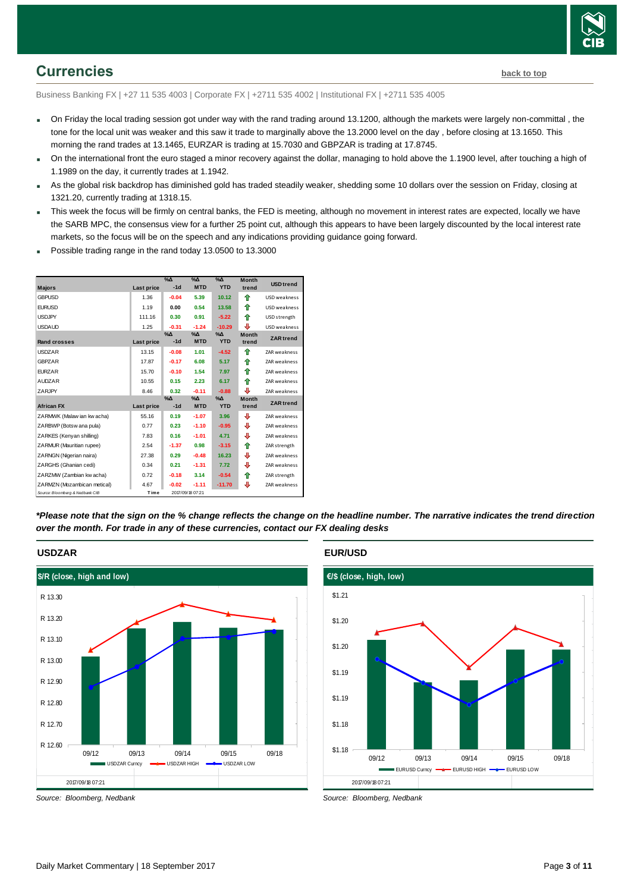

# <span id="page-2-0"></span>**Currencies [back to top](#page-0-0)**

Business Banking FX | +27 11 535 4003 | Corporate FX | +2711 535 4002 | Institutional FX | +2711 535 4005

- On Friday the local trading session got under way with the rand trading around 13.1200, although the markets were largely non-committal , the tone for the local unit was weaker and this saw it trade to marginally above the 13.2000 level on the day , before closing at 13.1650. This morning the rand trades at 13.1465, EURZAR is trading at 15.7030 and GBPZAR is trading at 17.8745.
- On the international front the euro staged a minor recovery against the dollar, managing to hold above the 1.1900 level, after touching a high of 1.1989 on the day, it currently trades at 1.1942.
- As the global risk backdrop has diminished gold has traded steadily weaker, shedding some 10 dollars over the session on Friday, closing at 1321.20, currently trading at 1318.15.
- This week the focus will be firmly on central banks, the FED is meeting, although no movement in interest rates are expected, locally we have the SARB MPC, the consensus view for a further 25 point cut, although this appears to have been largely discounted by the local interest rate markets, so the focus will be on the speech and any indications providing guidance going forward.
- Possible trading range in the rand today 13.0500 to 13.3000



*\*Please note that the sign on the % change reflects the change on the headline number. The narrative indicates the trend direction over the month. For trade in any of these currencies, contact our FX dealing desks*



*Source: Bloomberg, Nedbank*

**EUR/USD**



*Source: Bloomberg, Nedbank*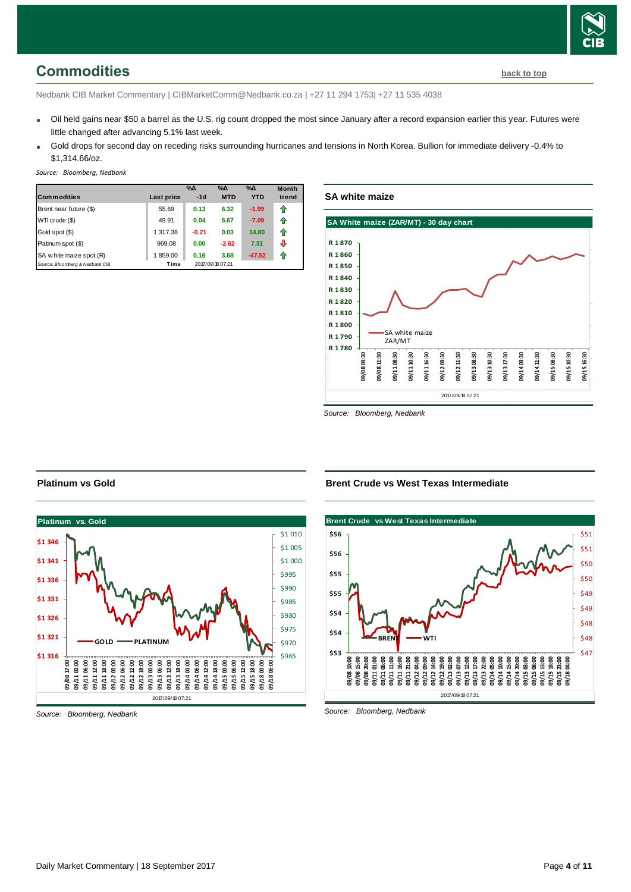<span id="page-3-0"></span>Nedbank CIB Market Commentary | CIBMarketComm@Nedbank.co.za | +27 11 294 1753| +27 11 535 4038

- Oil held gains near \$50 a barrel as the U.S. rig count dropped the most since January after a record expansion earlier this year. Futures were little changed after advancing 5.1% last week.
- Gold drops for second day on receding risks surrounding hurricanes and tensions in North Korea. Bullion for immediate delivery -0.4% to \$1,314.66/oz.

*Source: Bloomberg, Nedbank*

|                                 |            | $\%$ $\Delta$ | $\%$ $\Delta$    | $\%$ $\Delta$ | <b>Month</b> |
|---------------------------------|------------|---------------|------------------|---------------|--------------|
| <b>Commodities</b>              | Last price | $-1d$         | <b>MTD</b>       | <b>YTD</b>    | trend        |
| Brent near future (\$)          | 55.69      | 0.13          | 6.32             | $-1.99$       | fr           |
| WTI crude (\$)                  | 49.91      | 0.04          | 5.67             | $-7.09$       | ⇑            |
| Gold spot (\$)                  | 1 317.38   | $-0.21$       | 0.03             | 14.80         | ⇑            |
| Platinum spot (\$)              | 969.08     | 0.00          | $-2.62$          | 7.31          |              |
| SA w hite maize spot (R)        | 1859.00    | 0.16          | 3.68             | $-47.52$      | Æ            |
| Source: Bloomberg & Nedbank CIB | Time       |               | 2017/09/18 07:21 |               |              |

**SA white maize**



*Source: Bloomberg, Nedbank*

#### **Platinum vs Gold**



*Source: Bloomberg, Nedbank*

#### **Brent Crude vs West Texas Intermediate**



*Source: Bloomberg, Nedbank*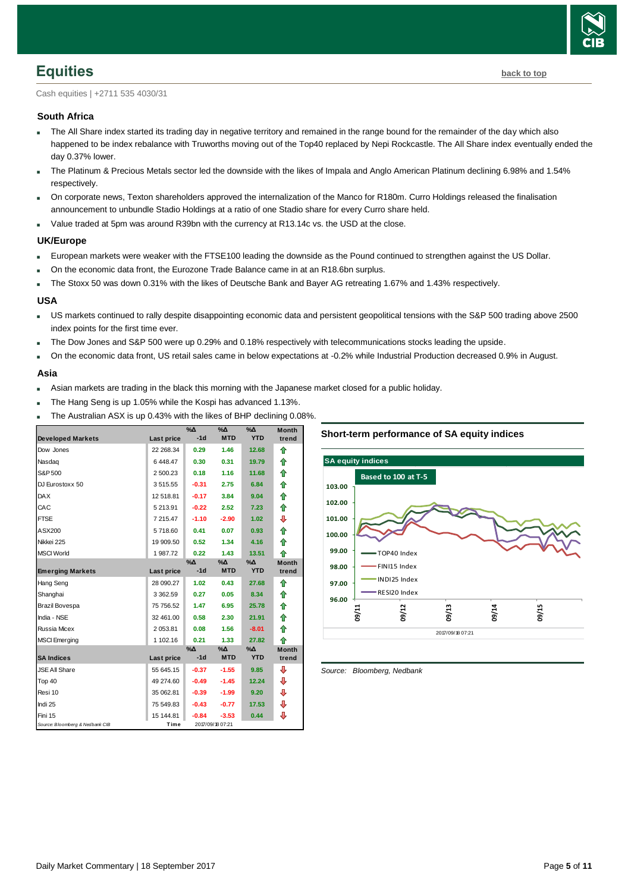

<span id="page-4-0"></span>Cash equities | +2711 535 4030/31

#### **South Africa**

- The All Share index started its trading day in negative territory and remained in the range bound for the remainder of the day which also happened to be index rebalance with Truworths moving out of the Top40 replaced by Nepi Rockcastle. The All Share index eventually ended the day 0.37% lower.
- The Platinum & Precious Metals sector led the downside with the likes of Impala and Anglo American Platinum declining 6.98% and 1.54% respectively.
- On corporate news, Texton shareholders approved the internalization of the Manco for R180m. Curro Holdings released the finalisation announcement to unbundle Stadio Holdings at a ratio of one Stadio share for every Curro share held.
- Value traded at 5pm was around R39bn with the currency at R13.14c vs. the USD at the close.

#### **UK/Europe**

- European markets were weaker with the FTSE100 leading the downside as the Pound continued to strengthen against the US Dollar.
- On the economic data front, the Eurozone Trade Balance came in at an R18.6bn surplus.
- The Stoxx 50 was down 0.31% with the likes of Deutsche Bank and Bayer AG retreating 1.67% and 1.43% respectively.

#### **USA**

- US markets continued to rally despite disappointing economic data and persistent geopolitical tensions with the S&P 500 trading above 2500 index points for the first time ever.
- The Dow Jones and S&P 500 were up 0.29% and 0.18% respectively with telecommunications stocks leading the upside.
- On the economic data front, US retail sales came in below expectations at -0.2% while Industrial Production decreased 0.9% in August.

#### **Asia**

- Asian markets are trading in the black this morning with the Japanese market closed for a public holiday.
- The Hang Seng is up 1.05% while the Kospi has advanced 1.13%.
- The Australian ASX is up 0.43% with the likes of BHP declining 0.08%.

|                                 |               | $\%$          | $\sqrt{20}$      | $\sqrt{20}$ | <b>Month</b> |
|---------------------------------|---------------|---------------|------------------|-------------|--------------|
| <b>Developed Markets</b>        | Last price    | $-1d$         | <b>MTD</b>       | <b>YTD</b>  | trend        |
| Dow Jones                       | 22 268.34     | 0.29          | 1.46             | 12.68       | ⇑            |
| Nasdag                          | 6448.47       | 0.30          | 0.31             | 19.79       | ⇑            |
| S&P 500                         | 2 500.23      | 0.18          | 1.16             | 11.68       | 合            |
| DJ Eurostoxx 50                 | 3515.55       | $-0.31$       | 2.75             | 6.84        | 合            |
| <b>DAX</b>                      | 12 518.81     | $-0.17$       | 3.84             | 9.04        | 合            |
| CAC                             | 5 213.91      | $-0.22$       | 2.52             | 7.23        | 合            |
| <b>FTSE</b>                     | 7 215.47      | $-1.10$       | $-2.90$          | 1.02        | ⊕            |
| ASX200                          | 5718.60       | 0.41          | 0.07             | 0.93        | ⇮            |
| Nikkei 225                      | 19 909.50     | 0.52          | 1.34             | 4.16        | ♠            |
| <b>MSCI World</b>               | 1987.72       | 0.22          | 1.43             | 13.51       | ♠            |
|                                 |               | $\%$ $\Delta$ | $% \Delta$       | $\% \Delta$ | <b>Month</b> |
| <b>Emerging Markets</b>         | Last price    | $-1d$         | <b>MTD</b>       | <b>YTD</b>  | trend        |
| Hang Seng                       | 28 090.27     | 1.02          | 0.43             | 27.68       | ⇑            |
| Shanghai                        | 3 3 6 2 . 5 9 | 0.27          | 0.05             | 8.34        | ⇑            |
| Brazil Bovespa                  | 75 756.52     | 1.47          | 6.95             | 25.78       | 合            |
| India - NSE                     | 32 461.00     | 0.58          | 2.30             | 21.91       | ⇮            |
| <b>Russia Micex</b>             | 2 053.81      | 0.08          | 1.56             | $-8.01$     | ♠            |
| <b>MSCI</b> Emerging            | 1 102.16      | 0.21          | 1.33             | 27.82       | ♠            |
|                                 |               | $\%$ $\Delta$ | %∆               | %∆          | <b>Month</b> |
| <b>SA Indices</b>               | Last price    | $-1d$         | <b>MTD</b>       | <b>YTD</b>  | trend        |
| <b>JSE All Share</b>            | 55 645.15     | $-0.37$       | $-1.55$          | 9.85        | ⊕            |
| Top 40                          | 49 274.60     | $-0.49$       | $-1.45$          | 12.24       | ⊕            |
| Resi 10                         | 35 062.81     | $-0.39$       | $-1.99$          | 9.20        | ⊕            |
| Indi 25                         | 75 549.83     | $-0.43$       | $-0.77$          | 17.53       | ⊕            |
| Fini 15                         | 15 144.81     | $-0.84$       | $-3.53$          | 0.44        | ⊕            |
| Source: Bloomberg & Nedbank CIB | Time          |               | 2017/09/18 07:21 |             |              |





<span id="page-4-1"></span>*Source: Bloomberg, Nedbank*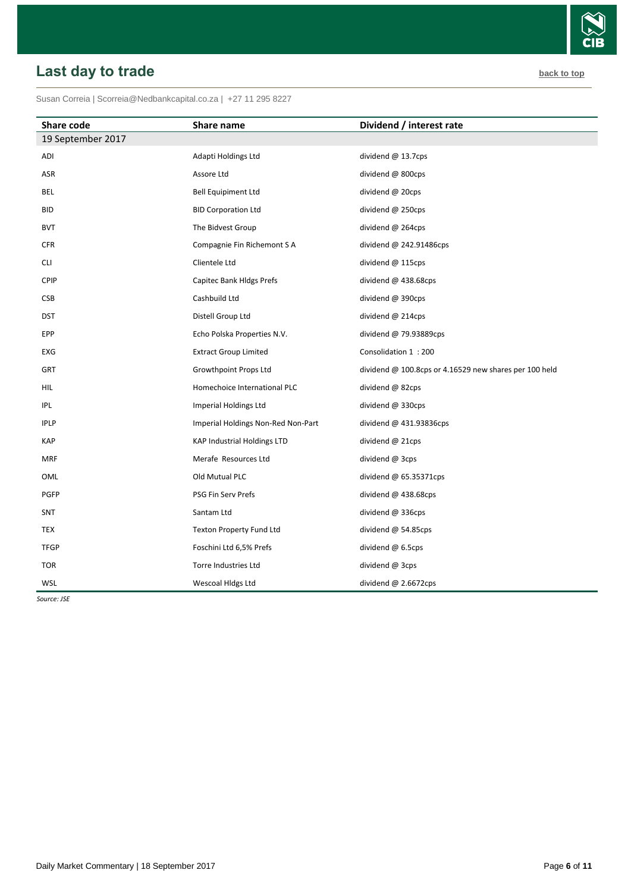#### <span id="page-5-0"></span>Susan Correia [| Scorreia@Nedbankcapital.co.za](mailto:Scorreia@Nedbankcapital.co.za) | +27 11 295 8227

| <b>Share code</b> | Share name                         | Dividend / interest rate                                 |
|-------------------|------------------------------------|----------------------------------------------------------|
| 19 September 2017 |                                    |                                                          |
| ADI               | Adapti Holdings Ltd                | dividend @ 13.7cps                                       |
| ASR               | Assore Ltd                         | dividend @ 800cps                                        |
| BEL               | <b>Bell Equipiment Ltd</b>         | dividend $@$ 20cps                                       |
| <b>BID</b>        | <b>BID Corporation Ltd</b>         | dividend @ 250cps                                        |
| <b>BVT</b>        | The Bidvest Group                  | dividend @ 264cps                                        |
| <b>CFR</b>        | Compagnie Fin Richemont S A        | dividend $@$ 242.91486cps                                |
| CLI               | Clientele Ltd                      | dividend @ 115cps                                        |
| <b>CPIP</b>       | Capitec Bank Hldgs Prefs           | dividend @ 438.68cps                                     |
| CSB               | Cashbuild Ltd                      | dividend @ 390cps                                        |
| <b>DST</b>        | Distell Group Ltd                  | dividend $@$ 214cps                                      |
| EPP               | Echo Polska Properties N.V.        | dividend @ 79.93889cps                                   |
| EXG               | <b>Extract Group Limited</b>       | Consolidation 1:200                                      |
| GRT               | Growthpoint Props Ltd              | dividend $@$ 100.8cps or 4.16529 new shares per 100 held |
| HIL               | Homechoice International PLC       | dividend @ 82cps                                         |
| <b>IPL</b>        | Imperial Holdings Ltd              | dividend @ 330cps                                        |
| <b>IPLP</b>       | Imperial Holdings Non-Red Non-Part | dividend @ 431.93836cps                                  |
| <b>KAP</b>        | <b>KAP Industrial Holdings LTD</b> | dividend @ 21cps                                         |
| <b>MRF</b>        | Merafe Resources Ltd               | dividend @ 3cps                                          |
| OML               | Old Mutual PLC                     | dividend $@$ 65.35371cps                                 |
| PGFP              | PSG Fin Serv Prefs                 | dividend @ 438.68cps                                     |
| <b>SNT</b>        | Santam Ltd                         | dividend @ 336cps                                        |
| <b>TEX</b>        | Texton Property Fund Ltd           | dividend @ 54.85cps                                      |
| <b>TFGP</b>       | Foschini Ltd 6,5% Prefs            | dividend $@$ 6.5cps                                      |
| <b>TOR</b>        | Torre Industries Ltd               | dividend @ 3cps                                          |
| WSL               | Wescoal Hidgs Ltd                  | dividend @ 2.6672cps                                     |

*Source: JSE*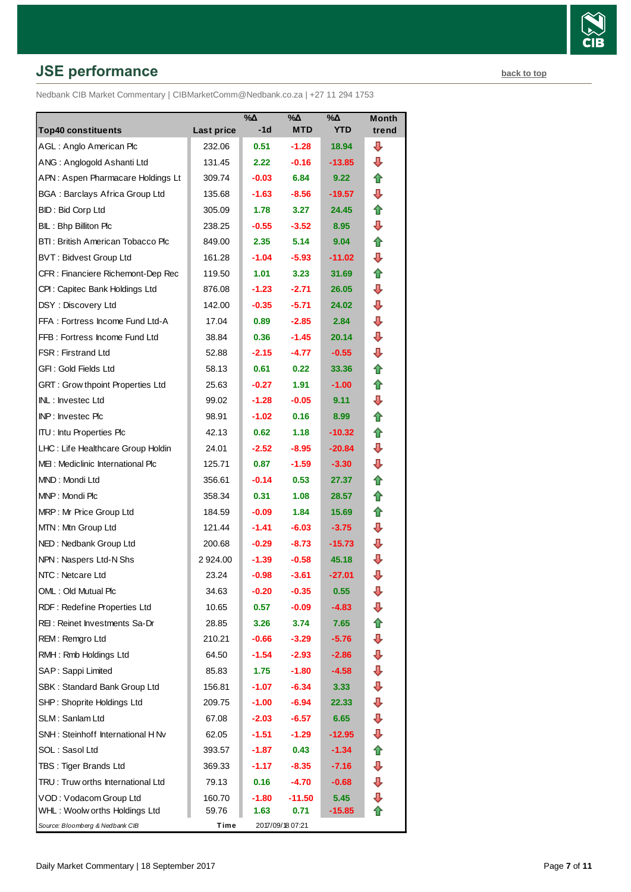# **JSE performance [back to top](#page-0-0) back to top**

Nedbank CIB Market Commentary | CIBMarketComm@Nedbank.co.za | +27 11 294 1753

|                                         |                   | $\%$ $\Delta$ | $\%$ $\Delta$    | %∆         | <b>Month</b> |
|-----------------------------------------|-------------------|---------------|------------------|------------|--------------|
| <b>Top40 constituents</b>               | <b>Last price</b> | -1d           | <b>MTD</b>       | <b>YTD</b> | trend        |
| AGL: Anglo American Plc                 | 232.06            | 0.51          | $-1.28$          | 18.94      | ┺            |
| ANG: Anglogold Ashanti Ltd              | 131.45            | 2.22          | $-0.16$          | $-13.85$   | ⊕            |
| APN: Aspen Pharmacare Holdings Lt       | 309.74            | $-0.03$       | 6.84             | 9.22       | ⇑            |
| <b>BGA: Barclays Africa Group Ltd</b>   | 135.68            | $-1.63$       | $-8.56$          | $-19.57$   | ⊕            |
| BID: Bid Corp Ltd                       | 305.09            | 1.78          | 3.27             | 24.45      | ⇑            |
| BIL: Bhp Billiton Plc                   | 238.25            | $-0.55$       | $-3.52$          | 8.95       | ⇩            |
| BTI: British American Tobacco Plc       | 849.00            | 2.35          | 5.14             | 9.04       | ⇑            |
| <b>BVT: Bidvest Group Ltd</b>           | 161.28            | $-1.04$       | $-5.93$          | $-11.02$   | ⊕            |
| CFR : Financiere Richemont-Dep Rec      | 119.50            | 1.01          | 3.23             | 31.69      | ⇑            |
| CPI: Capitec Bank Holdings Ltd          | 876.08            | $-1.23$       | $-2.71$          | 26.05      | ⊕            |
| DSY: Discovery Ltd                      | 142.00            | $-0.35$       | $-5.71$          | 24.02      | ⊕            |
| FFA: Fortress Income Fund Ltd-A         | 17.04             | 0.89          | $-2.85$          | 2.84       | ⊕            |
| FFB: Fortress Income Fund Ltd           | 38.84             | 0.36          | $-1.45$          | 20.14      | ⊕            |
| <b>FSR: Firstrand Ltd</b>               | 52.88             | $-2.15$       | $-4.77$          | $-0.55$    | ⊕            |
| GFI: Gold Fields Ltd                    | 58.13             | 0.61          | 0.22             | 33.36      | t            |
| <b>GRT: Grow thpoint Properties Ltd</b> | 25.63             | $-0.27$       | 1.91             | $-1.00$    | ⇑            |
| <b>INL: Investec Ltd</b>                | 99.02             | $-1.28$       | $-0.05$          | 9.11       | ⊕            |
| <b>INP:</b> Invested Plc                | 98.91             | $-1.02$       | 0.16             | 8.99       | ⇑            |
| <b>ITU:</b> Intu Properties Plc         | 42.13             | 0.62          | 1.18             | $-10.32$   | ⇑            |
| LHC: Life Healthcare Group Holdin       | 24.01             | $-2.52$       | $-8.95$          | $-20.84$   | ⊕            |
| MEI: Mediclinic International Plc       | 125.71            | 0.87          | $-1.59$          | $-3.30$    | ⊕            |
| MND: Mondi Ltd                          | 356.61            | $-0.14$       | 0.53             | 27.37      | ⇑            |
| MNP: Mondi Plc                          | 358.34            | 0.31          | 1.08             | 28.57      | €            |
| MRP: Mr Price Group Ltd                 | 184.59            | $-0.09$       | 1.84             | 15.69      | ⇑            |
| MTN: Mtn Group Ltd                      | 121.44            | $-1.41$       | $-6.03$          | $-3.75$    | ⊕            |
| NED: Nedbank Group Ltd                  | 200.68            | $-0.29$       | $-8.73$          | $-15.73$   | ⊕            |
| NPN: Naspers Ltd-N Shs                  | 2 924.00          | $-1.39$       | $-0.58$          | 45.18      | ⊕            |
| NTC: Netcare Ltd                        | 23.24             | $-0.98$       | $-3.61$          | $-27.01$   | ⇩            |
| OML: Old Mutual Plc                     | 34.63             | $-0.20$       | $-0.35$          | 0.55       | ⊕            |
| RDF: Redefine Properties Ltd            | 10.65             | 0.57          | $-0.09$          | $-4.83$    | ⇩            |
| REI: Reinet Investments Sa-Dr           | 28.85             | 3.26          | 3.74             | 7.65       | ⇑            |
| REM: Remgro Ltd                         | 210.21            | $-0.66$       | $-3.29$          | $-5.76$    | ⇩            |
| RMH: Rmb Holdings Ltd                   | 64.50             | $-1.54$       | $-2.93$          | $-2.86$    | ⇩            |
| SAP: Sappi Limited                      | 85.83             | 1.75          | $-1.80$          | $-4.58$    | ⊕            |
| SBK: Standard Bank Group Ltd            | 156.81            | $-1.07$       | $-6.34$          | 3.33       | ⊕            |
| SHP: Shoprite Holdings Ltd              | 209.75            | $-1.00$       | $-6.94$          | 22.33      | ⇩            |
| SLM: Sanlam Ltd                         | 67.08             | $-2.03$       | $-6.57$          | 6.65       | ⇩            |
| SNH: Steinhoff International H Nv       | 62.05             | $-1.51$       | $-1.29$          | $-12.95$   | ⊕            |
| SOL: Sasol Ltd                          | 393.57            | $-1.87$       | 0.43             | $-1.34$    | ⇑            |
| TBS: Tiger Brands Ltd                   | 369.33            | $-1.17$       | $-8.35$          | $-7.16$    | ⇩            |
| TRU: Truw orths International Ltd       | 79.13             | 0.16          | -4.70            | $-0.68$    | ⇩            |
| VOD: Vodacom Group Ltd                  | 160.70            | $-1.80$       | $-11.50$         | 5.45       | ⇩            |
| WHL: Woolw orths Holdings Ltd           | 59.76             | 1.63          | 0.71             | $-15.85$   | ⇑            |
| Source: Bloomberg & Nedbank CIB         | Time              |               | 2017/09/18 07:21 |            |              |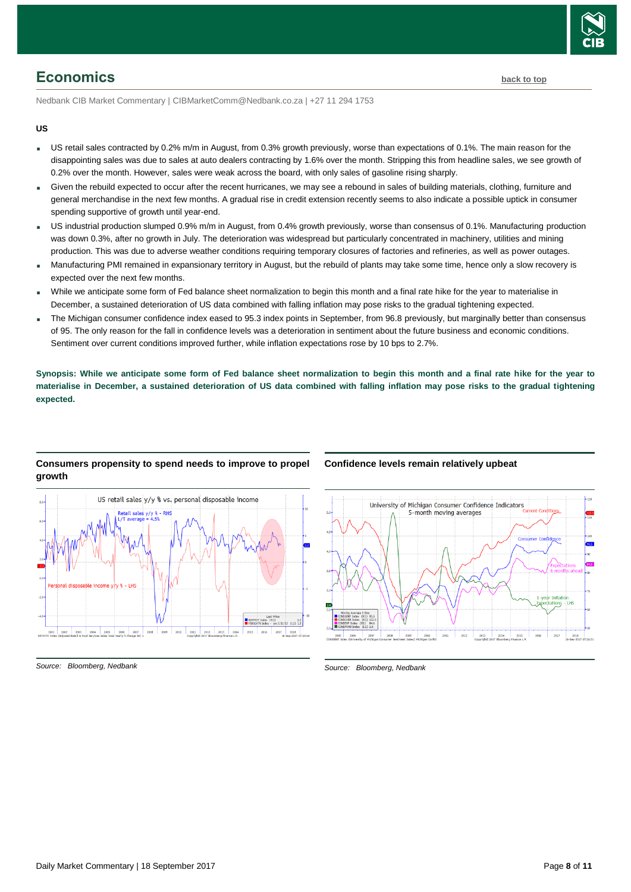

# <span id="page-7-0"></span>**Economics [back to top](#page-0-0)**

Nedbank CIB Market Commentary | CIBMarketComm@Nedbank.co.za | +27 11 294 1753

#### **US**

- US retail sales contracted by 0.2% m/m in August, from 0.3% growth previously, worse than expectations of 0.1%. The main reason for the disappointing sales was due to sales at auto dealers contracting by 1.6% over the month. Stripping this from headline sales, we see growth of 0.2% over the month. However, sales were weak across the board, with only sales of gasoline rising sharply.
- Given the rebuild expected to occur after the recent hurricanes, we may see a rebound in sales of building materials, clothing, furniture and general merchandise in the next few months. A gradual rise in credit extension recently seems to also indicate a possible uptick in consumer spending supportive of growth until year-end.
- US industrial production slumped 0.9% m/m in August, from 0.4% growth previously, worse than consensus of 0.1%. Manufacturing production was down 0.3%, after no growth in July. The deterioration was widespread but particularly concentrated in machinery, utilities and mining production. This was due to adverse weather conditions requiring temporary closures of factories and refineries, as well as power outages.
- Manufacturing PMI remained in expansionary territory in August, but the rebuild of plants may take some time, hence only a slow recovery is expected over the next few months.
- While we anticipate some form of Fed balance sheet normalization to begin this month and a final rate hike for the year to materialise in December, a sustained deterioration of US data combined with falling inflation may pose risks to the gradual tightening expected.
- The Michigan consumer confidence index eased to 95.3 index points in September, from 96.8 previously, but marginally better than consensus of 95. The only reason for the fall in confidence levels was a deterioration in sentiment about the future business and economic conditions. Sentiment over current conditions improved further, while inflation expectations rose by 10 bps to 2.7%.

**Synopsis: While we anticipate some form of Fed balance sheet normalization to begin this month and a final rate hike for the year to materialise in December, a sustained deterioration of US data combined with falling inflation may pose risks to the gradual tightening expected.**

# US retail sales y/y % vs. personal disposable income 2006 2007 2009 2010 2011 2012 201

**Consumers propensity to spend needs to improve to propel** 

#### *Source: Bloomberg, Nedbank*

**growth**

#### **Confidence levels remain relatively upbeat**



*Source: Bloomberg, Nedbank*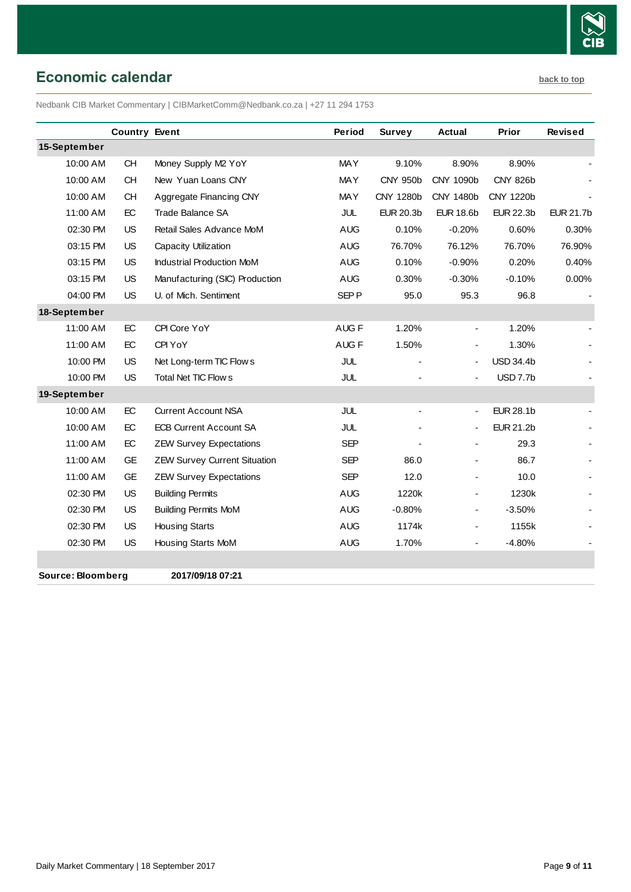

# <span id="page-8-0"></span>**Economic calendar [back to top](#page-0-0)**

Nedbank CIB Market Commentary | CIBMarketComm@Nedbank.co.za | +27 11 294 1753

|              | <b>Country Event</b> |                                     | Period           | <b>Survey</b>            | <b>Actual</b>            | Prior            | <b>Revised</b>   |
|--------------|----------------------|-------------------------------------|------------------|--------------------------|--------------------------|------------------|------------------|
| 15-September |                      |                                     |                  |                          |                          |                  |                  |
| 10:00 AM     | <b>CH</b>            | Money Supply M2 YoY                 | <b>MAY</b>       | 9.10%                    | 8.90%                    | 8.90%            |                  |
| 10:00 AM     | <b>CH</b>            | New Yuan Loans CNY                  | <b>MAY</b>       | <b>CNY 950b</b>          | CNY 1090b                | <b>CNY 826b</b>  |                  |
| 10:00 AM     | <b>CH</b>            | Aggregate Financing CNY             | <b>MAY</b>       | CNY 1280b                | CNY 1480b                | CNY 1220b        |                  |
| 11:00 AM     | EC                   | Trade Balance SA                    | JUL              | <b>EUR 20.3b</b>         | <b>EUR 18.6b</b>         | <b>EUR 22.3b</b> | <b>EUR 21.7b</b> |
| 02:30 PM     | <b>US</b>            | Retail Sales Advance MoM            | <b>AUG</b>       | 0.10%                    | $-0.20%$                 | 0.60%            | 0.30%            |
| 03:15 PM     | <b>US</b>            | Capacity Utilization                | <b>AUG</b>       | 76.70%                   | 76.12%                   | 76.70%           | 76.90%           |
| 03:15 PM     | <b>US</b>            | <b>Industrial Production MoM</b>    | <b>AUG</b>       | 0.10%                    | $-0.90%$                 | 0.20%            | 0.40%            |
| 03:15 PM     | <b>US</b>            | Manufacturing (SIC) Production      | <b>AUG</b>       | 0.30%                    | $-0.30%$                 | $-0.10%$         | 0.00%            |
| 04:00 PM     | <b>US</b>            | U. of Mich. Sentiment               | SEP <sub>P</sub> | 95.0                     | 95.3                     | 96.8             |                  |
| 18-September |                      |                                     |                  |                          |                          |                  |                  |
| 11:00 AM     | EC                   | CPI Core YoY                        | AUG <sub>F</sub> | 1.20%                    |                          | 1.20%            |                  |
| 11:00 AM     | EC                   | CPI YoY                             | AUG <sub>F</sub> | 1.50%                    |                          | 1.30%            |                  |
| 10:00 PM     | <b>US</b>            | Net Long-term TIC Flow s            | JUL              |                          |                          | <b>USD 34.4b</b> |                  |
| 10:00 PM     | US                   | Total Net TIC Flow s                | JUL              |                          |                          | <b>USD 7.7b</b>  |                  |
| 19-September |                      |                                     |                  |                          |                          |                  |                  |
| 10:00 AM     | EC                   | <b>Current Account NSA</b>          | JUL              | $\overline{\phantom{a}}$ | $\overline{\phantom{0}}$ | <b>EUR 28.1b</b> |                  |
| 10:00 AM     | EC                   | <b>ECB Current Account SA</b>       | JUL              |                          |                          | <b>EUR 21.2b</b> |                  |
| 11:00 AM     | EC                   | <b>ZEW Survey Expectations</b>      | <b>SEP</b>       |                          |                          | 29.3             |                  |
| 11:00 AM     | GE                   | <b>ZEW Survey Current Situation</b> | <b>SEP</b>       | 86.0                     |                          | 86.7             |                  |
| 11:00 AM     | GE                   | <b>ZEW Survey Expectations</b>      | <b>SEP</b>       | 12.0                     |                          | 10.0             |                  |
| 02:30 PM     | <b>US</b>            | <b>Building Permits</b>             | <b>AUG</b>       | 1220k                    |                          | 1230k            |                  |
| 02:30 PM     | <b>US</b>            | <b>Building Permits MoM</b>         | <b>AUG</b>       | $-0.80%$                 |                          | $-3.50%$         |                  |
| 02:30 PM     | <b>US</b>            | <b>Housing Starts</b>               | <b>AUG</b>       | 1174k                    |                          | 1155k            |                  |
| 02:30 PM     | <b>US</b>            | Housing Starts MoM                  | <b>AUG</b>       | 1.70%                    |                          | $-4.80%$         |                  |
|              |                      |                                     |                  |                          |                          |                  |                  |

**Source: Bloomberg 2017/09/18 07:21**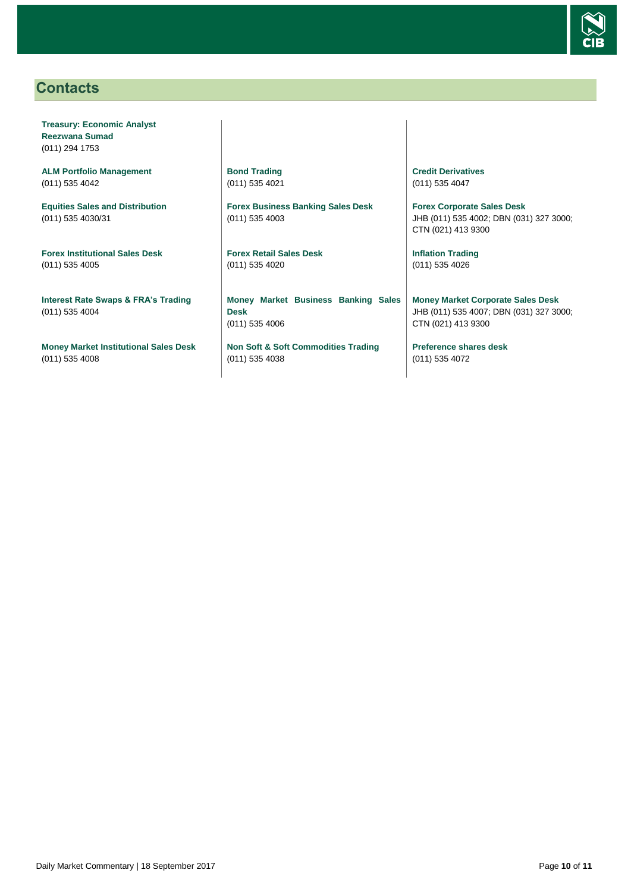

# <span id="page-9-0"></span>**Contacts**

**Treasury: Economic Analyst Reezwana Sumad** (011) 294 1753

**ALM Portfolio Management** (011) 535 4042

**Equities Sales and Distribution** (011) 535 4030/31

**Forex Institutional Sales Desk** (011) 535 4005

**Interest Rate Swaps & FRA's Trading** (011) 535 4004

**Money Market Institutional Sales Desk** (011) 535 4008

**Bond Trading** (011) 535 4021

**Forex Business Banking Sales Desk** (011) 535 4003

**Forex Retail Sales Desk** (011) 535 4020

**Money Market Business Banking Sales Desk** (011) 535 4006

**Non Soft & Soft Commodities Trading** (011) 535 4038

**Credit Derivatives**  (011) 535 4047

**Forex Corporate Sales Desk** JHB (011) 535 4002; DBN (031) 327 3000; CTN (021) 413 9300

**Inflation Trading** (011) 535 4026

**Money Market Corporate Sales Desk** JHB (011) 535 4007; DBN (031) 327 3000; CTN (021) 413 9300

**Preference shares desk** (011) 535 4072